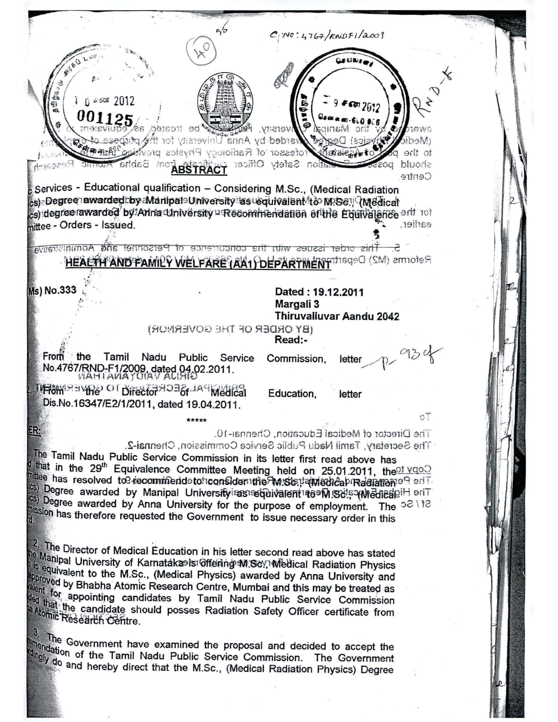